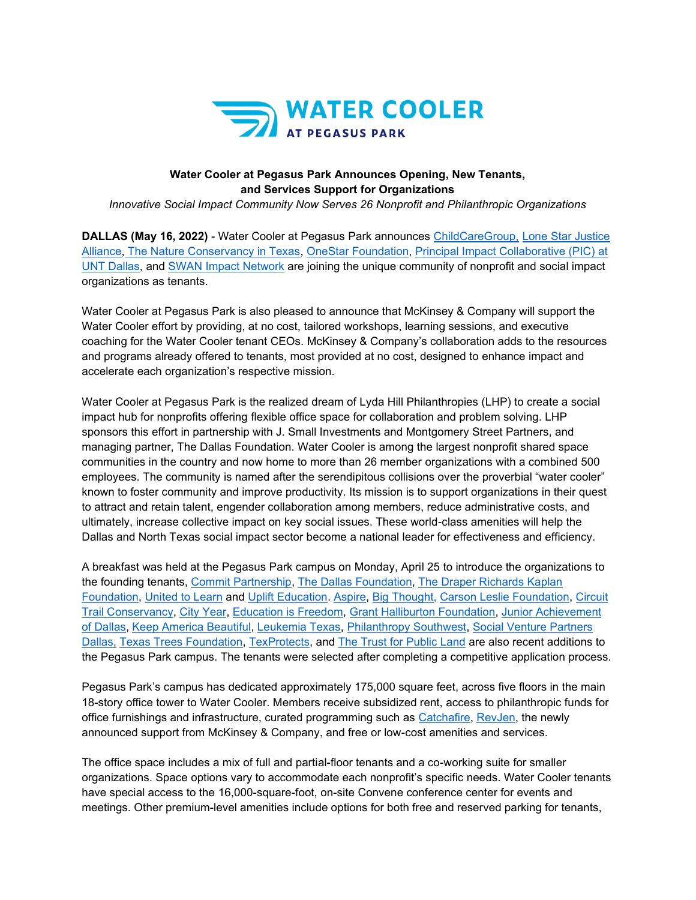

# **Water Cooler at Pegasus Park Announces Opening, New Tenants, and Services Support for Organizations**

*Innovative Social Impact Community Now Serves 26 Nonprofit and Philanthropic Organizations*

**DALLAS (May 16, 2022)** - Water Cooler at Pegasus Park announces [ChildCareGroup,](https://childcaregroup.org/) [Lone Star Justice](https://www.lonestarjusticealliance.org/)  [Alliance,](https://www.lonestarjusticealliance.org/) [The Nature Conservancy in Texas,](https://www.nature.org/en-us/about-us/where-we-work/united-states/texas/) [OneStar Foundation,](https://onestarfoundation.org/) [Principal Impact Collaborative \(PIC\) at](https://www.principalimpactcollaborative.org/)  [UNT Dallas,](https://www.principalimpactcollaborative.org/) and [SWAN Impact Network](https://swanimpact.org/) are joining the unique community of nonprofit and social impact organizations as tenants.

Water Cooler at Pegasus Park is also pleased to announce that McKinsey & Company will support the Water Cooler effort by providing, at no cost, tailored workshops, learning sessions, and executive coaching for the Water Cooler tenant CEOs. McKinsey & Company's collaboration adds to the resources and programs already offered to tenants, most provided at no cost, designed to enhance impact and accelerate each organization's respective mission.

Water Cooler at Pegasus Park is the realized dream of Lyda Hill Philanthropies (LHP) to create a social impact hub for nonprofits offering flexible office space for collaboration and problem solving. LHP sponsors this effort in partnership with J. Small Investments and Montgomery Street Partners, and managing partner, The Dallas Foundation. Water Cooler is among the largest nonprofit shared space communities in the country and now home to more than 26 member organizations with a combined 500 employees. The community is named after the serendipitous collisions over the proverbial "water cooler" known to foster community and improve productivity. Its mission is to support organizations in their quest to attract and retain talent, engender collaboration among members, reduce administrative costs, and ultimately, increase collective impact on key social issues. These world-class amenities will help the Dallas and North Texas social impact sector become a national leader for effectiveness and efficiency.

A breakfast was held at the Pegasus Park campus on Monday, April 25 to introduce the organizations to the founding tenants, [Commit Partnership,](https://commitpartnership.org/) [The Dallas Foundation,](https://www.dallasfoundation.org/) [The Draper Richards Kaplan](https://www.drkfoundation.org/)  [Foundation,](https://www.drkfoundation.org/) [United to Learn](https://unitedtolearn.org/) and [Uplift Education.](https://www.uplifteducation.org/) [Aspire,](https://www.aspiretolearn.org/) [Big Thought,](http://www.bigthought.org/) [Carson Leslie Foundation,](https://carsonlesliefoundation.org/) [Circuit](https://theloopdallas.org/)  [Trail Conservancy,](https://theloopdallas.org/) [City Year,](https://www.cityyear.org/) [Education is Freedom,](https://www.educationisfreedom.org/) [Grant Halliburton Foundation,](https://www.granthalliburton.org/) [Junior Achievement](https://jausa.ja.org/)  [of Dallas,](https://jausa.ja.org/) [Keep America Beautiful,](https://kab.org/) [Leukemia Texas,](https://www.leukemiatexas.org/) [Philanthropy Southwest,](https://www.philanthropysouthwest.org/) [Social Venture Partners](https://www.socialventurepartners.org/dallas/)  [Dallas,](https://www.socialventurepartners.org/dallas/) [Texas Trees Foundation,](https://www.texastrees.org/) [TexProtects,](https://www.texprotects.org/) and [The Trust for Public Land](https://www.tpl.org/) are also recent additions to the Pegasus Park campus. The tenants were selected after completing a competitive application process.

Pegasus Park's campus has dedicated approximately 175,000 square feet, across five floors in the main 18-story office tower to Water Cooler. Members receive subsidized rent, access to philanthropic funds for office furnishings and infrastructure, curated programming such as [Catchafire,](https://www.dallasfoundation.org/in-the-media/nonprofit-partnership-aids-covid-19-recovery/) [RevJen,](https://revjen.com/north-texas-funders-initiative-launches/) the newly announced support from McKinsey & Company, and free or low-cost amenities and services.

The office space includes a mix of full and partial-floor tenants and a co-working suite for smaller organizations. Space options vary to accommodate each nonprofit's specific needs. Water Cooler tenants have special access to the 16,000-square-foot, on-site Convene conference center for events and meetings. Other premium-level amenities include options for both free and reserved parking for tenants,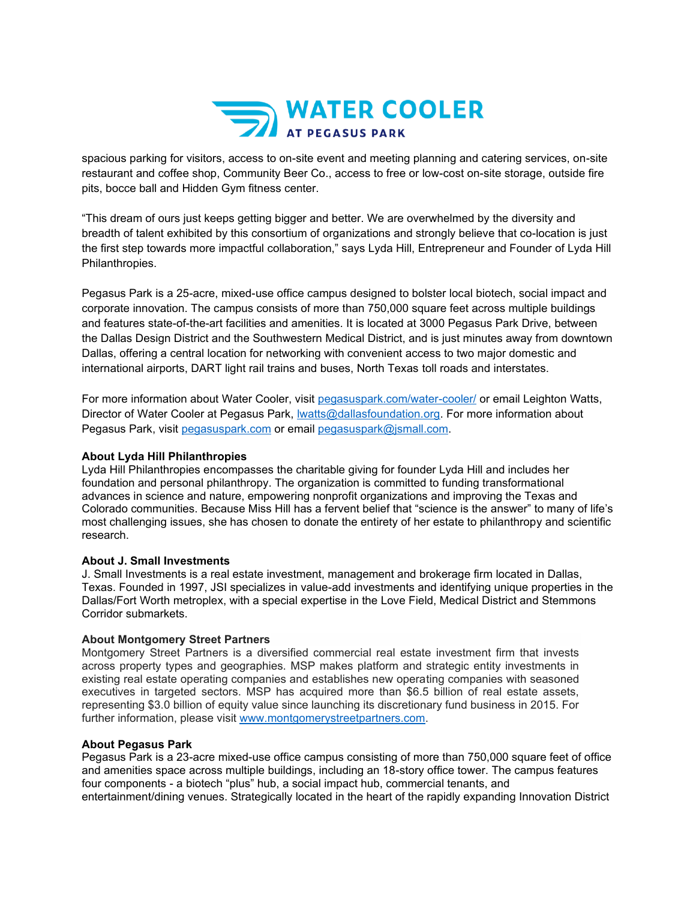

spacious parking for visitors, access to on-site event and meeting planning and catering services, on-site restaurant and coffee shop, Community Beer Co., access to free or low-cost on-site storage, outside fire pits, bocce ball and Hidden Gym fitness center.

"This dream of ours just keeps getting bigger and better. We are overwhelmed by the diversity and breadth of talent exhibited by this consortium of organizations and strongly believe that co-location is just the first step towards more impactful collaboration," says Lyda Hill, Entrepreneur and Founder of Lyda Hill Philanthropies.

Pegasus Park is a 25-acre, mixed-use office campus designed to bolster local biotech, social impact and corporate innovation. The campus consists of more than 750,000 square feet across multiple buildings and features state-of-the-art facilities and amenities. It is located at 3000 Pegasus Park Drive, between the Dallas Design District and the Southwestern Medical District, and is just minutes away from downtown Dallas, offering a central location for networking with convenient access to two major domestic and international airports, DART light rail trains and buses, North Texas toll roads and interstates.

For more information about Water Cooler, visit [pegasuspark.com/water-cooler/](https://pegasuspark.com/water-cooler/) or email Leighton Watts, Director of Water Cooler at Pegasus Park, [lwatts@dallasfoundation.org.](mailto:lwatts@dallasfoundation.org) For more information about Pegasus Park, visit [pegasuspark.com](https://pegasuspark.com/) or email [pegasuspark@jsmall.com.](mailto:pegasuspark@jsmall.com)

### **About Lyda Hill Philanthropies**

Lyda Hill Philanthropies encompasses the charitable giving for founder Lyda Hill and includes her foundation and personal philanthropy. The organization is committed to funding transformational advances in science and nature, empowering nonprofit organizations and improving the Texas and Colorado communities. Because Miss Hill has a fervent belief that "science is the answer" to many of life's most challenging issues, she has chosen to donate the entirety of her estate to philanthropy and scientific research.

#### **About J. Small Investments**

J. Small Investments is a real estate investment, management and brokerage firm located in Dallas, Texas. Founded in 1997, JSI specializes in value-add investments and identifying unique properties in the Dallas/Fort Worth metroplex, with a special expertise in the Love Field, Medical District and Stemmons Corridor submarkets.

#### **About Montgomery Street Partners**

Montgomery Street Partners is a diversified commercial real estate investment firm that invests across property types and geographies. MSP makes platform and strategic entity investments in existing real estate operating companies and establishes new operating companies with seasoned executives in targeted sectors. MSP has acquired more than \$6.5 billion of real estate assets, representing \$3.0 billion of equity value since launching its discretionary fund business in 2015. For further information, please visit [www.montgomerystreetpartners.com.](https://linkprotect.cudasvc.com/url?a=http%3a%2f%2fwww.montgomerystreetpartners.com&c=E,1,AGBqpqpp3MND3q6ZJpijkq4jLNT3RzVsPVGzDpafFl3och_jWJzCpZhBe441y0HmBC96T_vEWQUHIlb2I6273oJ1iHUTdcSOThWAYEgW_P0,&typo=1)

## **About Pegasus Park**

Pegasus Park is a 23-acre mixed-use office campus consisting of more than 750,000 square feet of office and amenities space across multiple buildings, including an 18-story office tower. The campus features four components - a biotech "plus" hub, a social impact hub, commercial tenants, and entertainment/dining venues. Strategically located in the heart of the rapidly expanding Innovation District